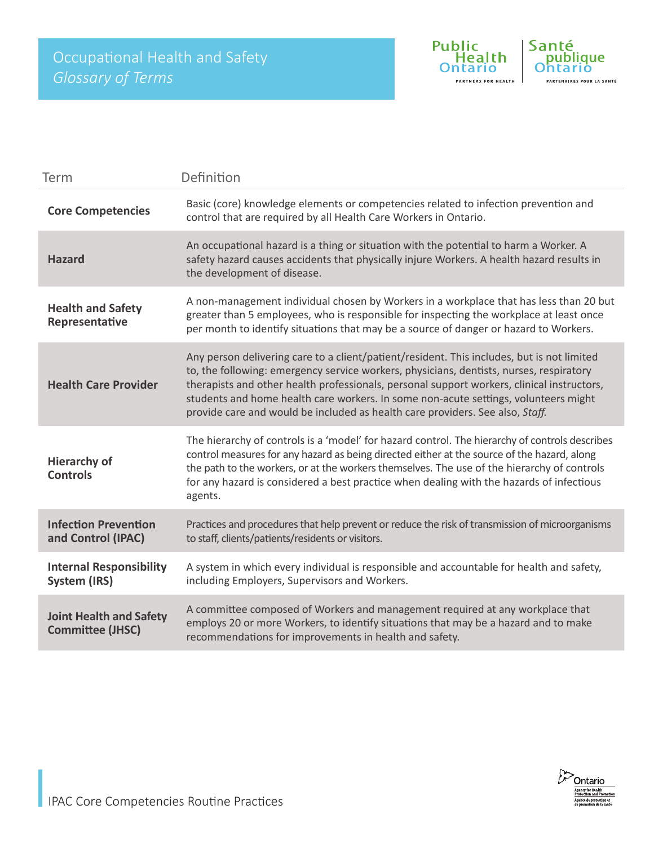

| Term                                                      | Definition                                                                                                                                                                                                                                                                                                                                                                                                                                                  |
|-----------------------------------------------------------|-------------------------------------------------------------------------------------------------------------------------------------------------------------------------------------------------------------------------------------------------------------------------------------------------------------------------------------------------------------------------------------------------------------------------------------------------------------|
| <b>Core Competencies</b>                                  | Basic (core) knowledge elements or competencies related to infection prevention and<br>control that are required by all Health Care Workers in Ontario.                                                                                                                                                                                                                                                                                                     |
| <b>Hazard</b>                                             | An occupational hazard is a thing or situation with the potential to harm a Worker. A<br>safety hazard causes accidents that physically injure Workers. A health hazard results in<br>the development of disease.                                                                                                                                                                                                                                           |
| <b>Health and Safety</b><br>Representative                | A non-management individual chosen by Workers in a workplace that has less than 20 but<br>greater than 5 employees, who is responsible for inspecting the workplace at least once<br>per month to identify situations that may be a source of danger or hazard to Workers.                                                                                                                                                                                  |
| <b>Health Care Provider</b>                               | Any person delivering care to a client/patient/resident. This includes, but is not limited<br>to, the following: emergency service workers, physicians, dentists, nurses, respiratory<br>therapists and other health professionals, personal support workers, clinical instructors,<br>students and home health care workers. In some non-acute settings, volunteers might<br>provide care and would be included as health care providers. See also, Staff. |
| <b>Hierarchy of</b><br><b>Controls</b>                    | The hierarchy of controls is a 'model' for hazard control. The hierarchy of controls describes<br>control measures for any hazard as being directed either at the source of the hazard, along<br>the path to the workers, or at the workers themselves. The use of the hierarchy of controls<br>for any hazard is considered a best practice when dealing with the hazards of infectious<br>agents.                                                         |
| <b>Infection Prevention</b><br>and Control (IPAC)         | Practices and procedures that help prevent or reduce the risk of transmission of microorganisms<br>to staff, clients/patients/residents or visitors.                                                                                                                                                                                                                                                                                                        |
| <b>Internal Responsibility</b><br>System (IRS)            | A system in which every individual is responsible and accountable for health and safety,<br>including Employers, Supervisors and Workers.                                                                                                                                                                                                                                                                                                                   |
| <b>Joint Health and Safety</b><br><b>Committee (JHSC)</b> | A committee composed of Workers and management required at any workplace that<br>employs 20 or more Workers, to identify situations that may be a hazard and to make<br>recommendations for improvements in health and safety.                                                                                                                                                                                                                              |